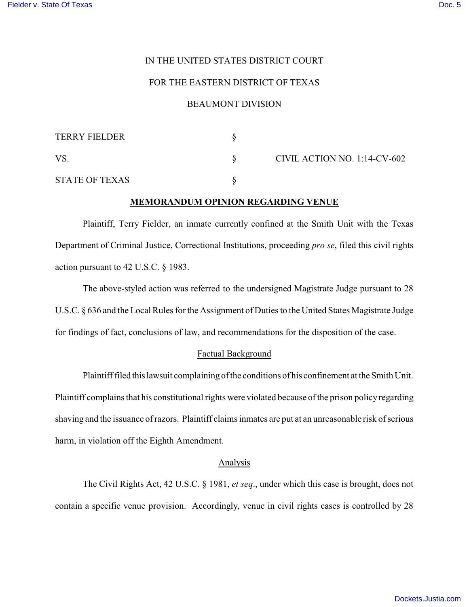## IN THE UNITED STATES DISTRICT COURT

## FOR THE EASTERN DISTRICT OF TEXAS

## BEAUMONT DIVISION

| <b>TERRY FIELDER</b>  |  | CIVIL ACTION NO. 1:14-CV-602 |
|-----------------------|--|------------------------------|
| VS                    |  |                              |
| <b>STATE OF TEXAS</b> |  |                              |

# **MEMORANDUM OPINION REGARDING VENUE**

Plaintiff, Terry Fielder, an inmate currently confined at the Smith Unit with the Texas Department of Criminal Justice, Correctional Institutions, proceeding *pro se*, filed this civil rights action pursuant to 42 U.S.C. § 1983.

The above-styled action was referred to the undersigned Magistrate Judge pursuant to 28 U.S.C. § 636 and the Local Rules for the Assignment of Duties to the United States Magistrate Judge for findings of fact, conclusions of law, and recommendations for the disposition of the case.

### Factual Background

Plaintiff filed this lawsuit complaining of the conditions of his confinement at the Smith Unit. Plaintiff complains that his constitutional rights were violated because of the prison policy regarding shaving and the issuance of razors. Plaintiff claims inmates are put at an unreasonable risk of serious harm, in violation off the Eighth Amendment.

### Analysis

The Civil Rights Act, 42 U.S.C. § 1981, *et seq*., under which this case is brought, does not contain a specific venue provision. Accordingly, venue in civil rights cases is controlled by 28